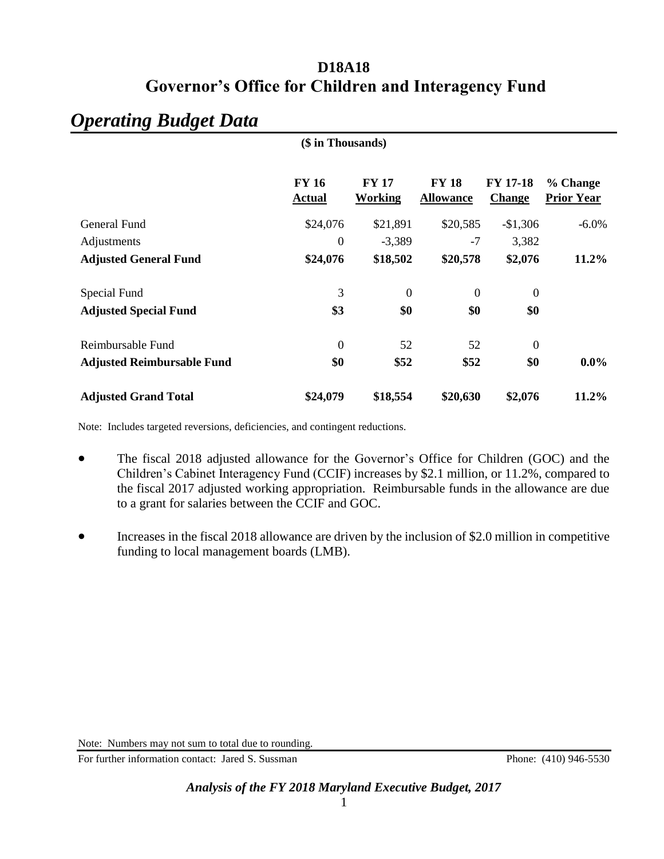# *Operating Budget Data*

|                                   | (\$ in Thousands)             |                         |                                  |                                  |                               |
|-----------------------------------|-------------------------------|-------------------------|----------------------------------|----------------------------------|-------------------------------|
|                                   | <b>FY 16</b><br><b>Actual</b> | <b>FY 17</b><br>Working | <b>FY 18</b><br><b>Allowance</b> | <b>FY 17-18</b><br><b>Change</b> | % Change<br><b>Prior Year</b> |
| General Fund                      | \$24,076                      | \$21,891                | \$20,585                         | $-$1,306$                        | $-6.0\%$                      |
| Adjustments                       | $\Omega$                      | $-3,389$                | $-7$                             | 3,382                            |                               |
| <b>Adjusted General Fund</b>      | \$24,076                      | \$18,502                | \$20,578                         | \$2,076                          | $11.2\%$                      |
| Special Fund                      | 3                             | $\boldsymbol{0}$        | $\boldsymbol{0}$                 | $\boldsymbol{0}$                 |                               |
| <b>Adjusted Special Fund</b>      | \$3                           | \$0                     | \$0                              | \$0                              |                               |
| Reimbursable Fund                 | $\mathbf{0}$                  | 52                      | 52                               | $\boldsymbol{0}$                 |                               |
| <b>Adjusted Reimbursable Fund</b> | \$0                           | \$52                    | \$52                             | \$0                              | $0.0\%$                       |
| <b>Adjusted Grand Total</b>       | \$24,079                      | \$18,554                | \$20,630                         | \$2,076                          | 11.2%                         |

Note: Includes targeted reversions, deficiencies, and contingent reductions.

- The fiscal 2018 adjusted allowance for the Governor's Office for Children (GOC) and the Children's Cabinet Interagency Fund (CCIF) increases by \$2.1 million, or 11.2%, compared to the fiscal 2017 adjusted working appropriation. Reimbursable funds in the allowance are due to a grant for salaries between the CCIF and GOC.
- Increases in the fiscal 2018 allowance are driven by the inclusion of \$2.0 million in competitive funding to local management boards (LMB).

Note: Numbers may not sum to total due to rounding.

For further information contact: Jared S. Sussman Phone: (410) 946-5530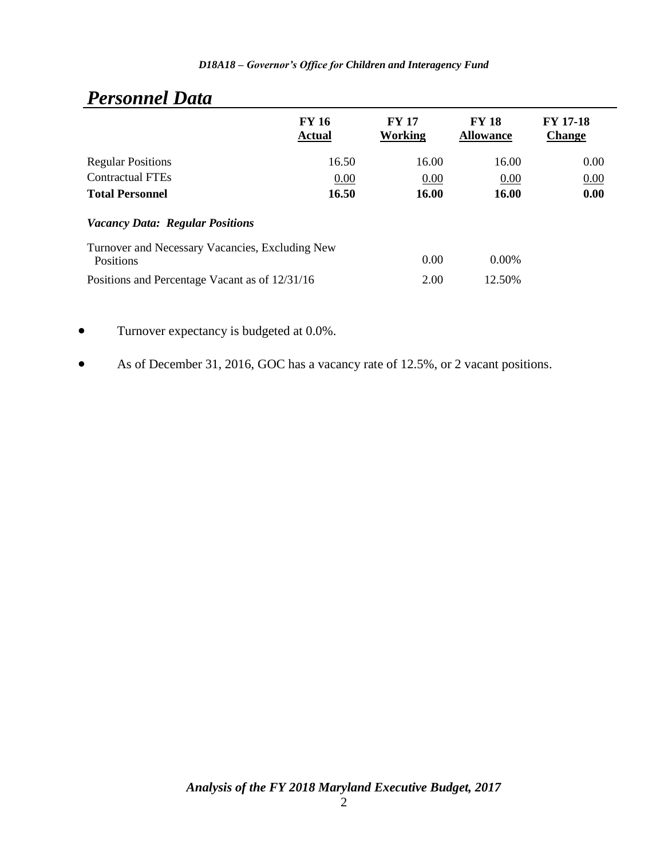| ________________                                                    |                               |                         |                                  |                                  |  |  |
|---------------------------------------------------------------------|-------------------------------|-------------------------|----------------------------------|----------------------------------|--|--|
|                                                                     | <b>FY 16</b><br><b>Actual</b> | <b>FY 17</b><br>Working | <b>FY 18</b><br><b>Allowance</b> | <b>FY 17-18</b><br><b>Change</b> |  |  |
| <b>Regular Positions</b>                                            | 16.50                         | 16.00                   | 16.00                            | 0.00                             |  |  |
| <b>Contractual FTEs</b>                                             | 0.00                          | 0.00                    | 0.00                             | 0.00                             |  |  |
| <b>Total Personnel</b>                                              | 16.50                         | 16.00                   | 16.00                            | 0.00                             |  |  |
| <b>Vacancy Data: Regular Positions</b>                              |                               |                         |                                  |                                  |  |  |
| Turnover and Necessary Vacancies, Excluding New<br><b>Positions</b> |                               | 0.00                    | $0.00\%$                         |                                  |  |  |
| Positions and Percentage Vacant as of 12/31/16                      |                               | 2.00                    | 12.50%                           |                                  |  |  |
|                                                                     |                               |                         |                                  |                                  |  |  |

# *Personnel Data*

Turnover expectancy is budgeted at 0.0%.

As of December 31, 2016, GOC has a vacancy rate of 12.5%, or 2 vacant positions.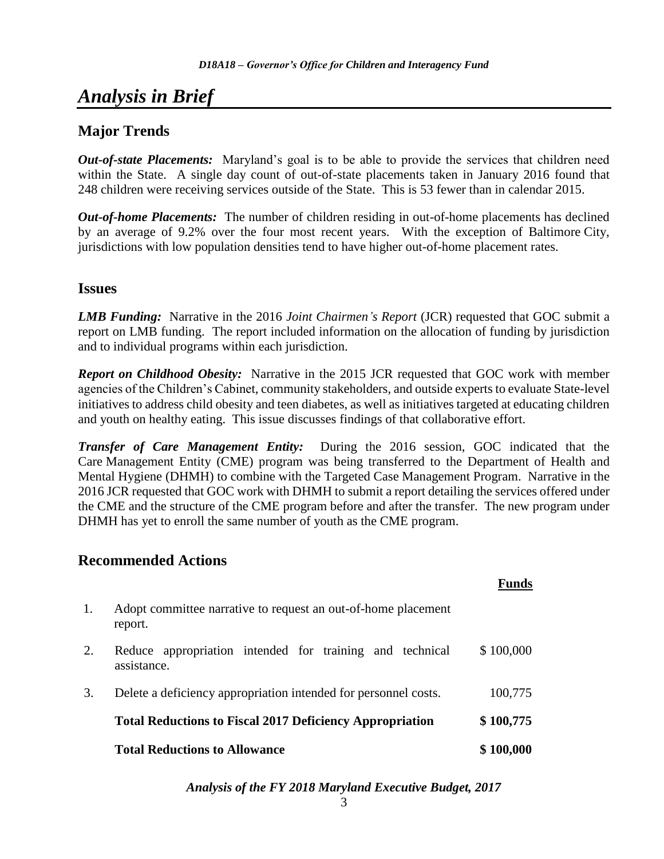# *Analysis in Brief*

# **Major Trends**

*Out-of-state Placements:* Maryland's goal is to be able to provide the services that children need within the State. A single day count of out-of-state placements taken in January 2016 found that 248 children were receiving services outside of the State. This is 53 fewer than in calendar 2015.

*Out-of-home Placements:* The number of children residing in out-of-home placements has declined by an average of 9.2% over the four most recent years. With the exception of Baltimore City, jurisdictions with low population densities tend to have higher out-of-home placement rates.

## **Issues**

*LMB Funding:* Narrative in the 2016 *Joint Chairmen's Report* (JCR) requested that GOC submit a report on LMB funding. The report included information on the allocation of funding by jurisdiction and to individual programs within each jurisdiction.

*Report on Childhood Obesity:* Narrative in the 2015 JCR requested that GOC work with member agencies of the Children's Cabinet, community stakeholders, and outside experts to evaluate State-level initiatives to address child obesity and teen diabetes, as well as initiatives targeted at educating children and youth on healthy eating. This issue discusses findings of that collaborative effort.

*Transfer of Care Management Entity:* During the 2016 session, GOC indicated that the Care Management Entity (CME) program was being transferred to the Department of Health and Mental Hygiene (DHMH) to combine with the Targeted Case Management Program. Narrative in the 2016 JCR requested that GOC work with DHMH to submit a report detailing the services offered under the CME and the structure of the CME program before and after the transfer. The new program under DHMH has yet to enroll the same number of youth as the CME program.

# **Recommended Actions**

|    |                                                                          | Funde     |
|----|--------------------------------------------------------------------------|-----------|
| 1. | Adopt committee narrative to request an out-of-home placement<br>report. |           |
| 2. | Reduce appropriation intended for training and technical<br>assistance.  | \$100,000 |
| 3. | Delete a deficiency appropriation intended for personnel costs.          | 100,775   |
|    | <b>Total Reductions to Fiscal 2017 Deficiency Appropriation</b>          | \$100,775 |
|    | <b>Total Reductions to Allowance</b>                                     | \$100,000 |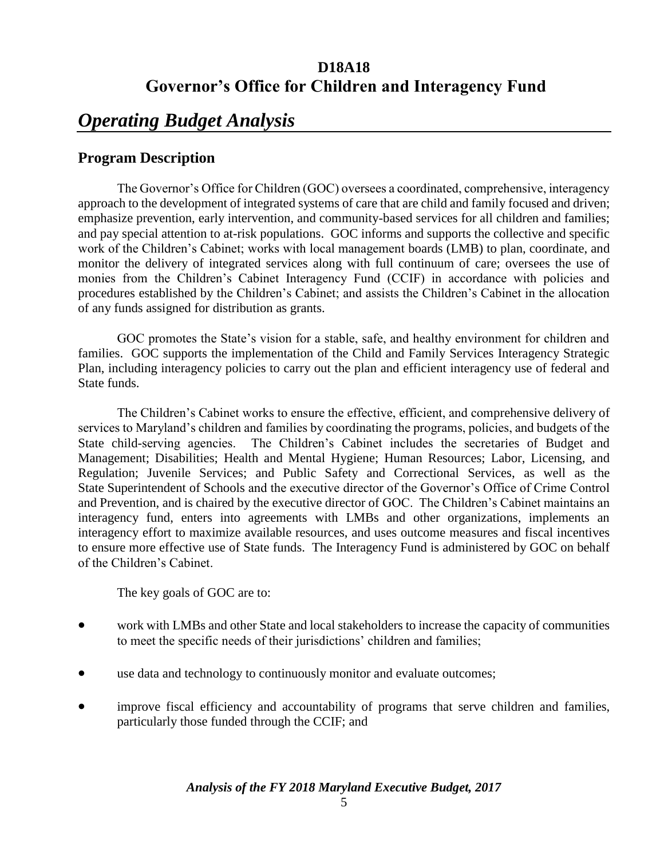# *Operating Budget Analysis*

# **Program Description**

The Governor's Office for Children (GOC) oversees a coordinated, comprehensive, interagency approach to the development of integrated systems of care that are child and family focused and driven; emphasize prevention, early intervention, and community-based services for all children and families; and pay special attention to at-risk populations. GOC informs and supports the collective and specific work of the Children's Cabinet; works with local management boards (LMB) to plan, coordinate, and monitor the delivery of integrated services along with full continuum of care; oversees the use of monies from the Children's Cabinet Interagency Fund (CCIF) in accordance with policies and procedures established by the Children's Cabinet; and assists the Children's Cabinet in the allocation of any funds assigned for distribution as grants.

GOC promotes the State's vision for a stable, safe, and healthy environment for children and families. GOC supports the implementation of the Child and Family Services Interagency Strategic Plan, including interagency policies to carry out the plan and efficient interagency use of federal and State funds.

The Children's Cabinet works to ensure the effective, efficient, and comprehensive delivery of services to Maryland's children and families by coordinating the programs, policies, and budgets of the State child-serving agencies. The Children's Cabinet includes the secretaries of Budget and Management; Disabilities; Health and Mental Hygiene; Human Resources; Labor, Licensing, and Regulation; Juvenile Services; and Public Safety and Correctional Services, as well as the State Superintendent of Schools and the executive director of the Governor's Office of Crime Control and Prevention, and is chaired by the executive director of GOC. The Children's Cabinet maintains an interagency fund, enters into agreements with LMBs and other organizations, implements an interagency effort to maximize available resources, and uses outcome measures and fiscal incentives to ensure more effective use of State funds. The Interagency Fund is administered by GOC on behalf of the Children's Cabinet.

The key goals of GOC are to:

- work with LMBs and other State and local stakeholders to increase the capacity of communities to meet the specific needs of their jurisdictions' children and families;
- use data and technology to continuously monitor and evaluate outcomes;
- improve fiscal efficiency and accountability of programs that serve children and families, particularly those funded through the CCIF; and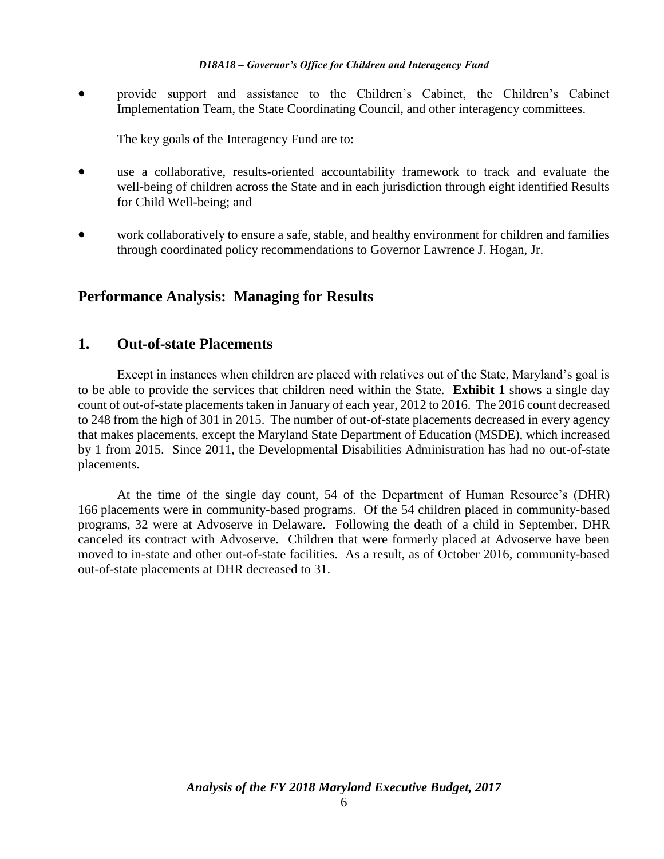provide support and assistance to the Children's Cabinet, the Children's Cabinet Implementation Team, the State Coordinating Council, and other interagency committees.

The key goals of the Interagency Fund are to:

- use a collaborative, results-oriented accountability framework to track and evaluate the well-being of children across the State and in each jurisdiction through eight identified Results for Child Well-being; and
- work collaboratively to ensure a safe, stable, and healthy environment for children and families through coordinated policy recommendations to Governor Lawrence J. Hogan, Jr.

## **Performance Analysis: Managing for Results**

## **1. Out-of-state Placements**

Except in instances when children are placed with relatives out of the State, Maryland's goal is to be able to provide the services that children need within the State. **Exhibit 1** shows a single day count of out-of-state placements taken in January of each year, 2012 to 2016. The 2016 count decreased to 248 from the high of 301 in 2015. The number of out-of-state placements decreased in every agency that makes placements, except the Maryland State Department of Education (MSDE), which increased by 1 from 2015. Since 2011, the Developmental Disabilities Administration has had no out-of-state placements.

At the time of the single day count, 54 of the Department of Human Resource's (DHR) 166 placements were in community-based programs. Of the 54 children placed in community-based programs, 32 were at Advoserve in Delaware. Following the death of a child in September, DHR canceled its contract with Advoserve. Children that were formerly placed at Advoserve have been moved to in-state and other out-of-state facilities. As a result, as of October 2016, community-based out-of-state placements at DHR decreased to 31.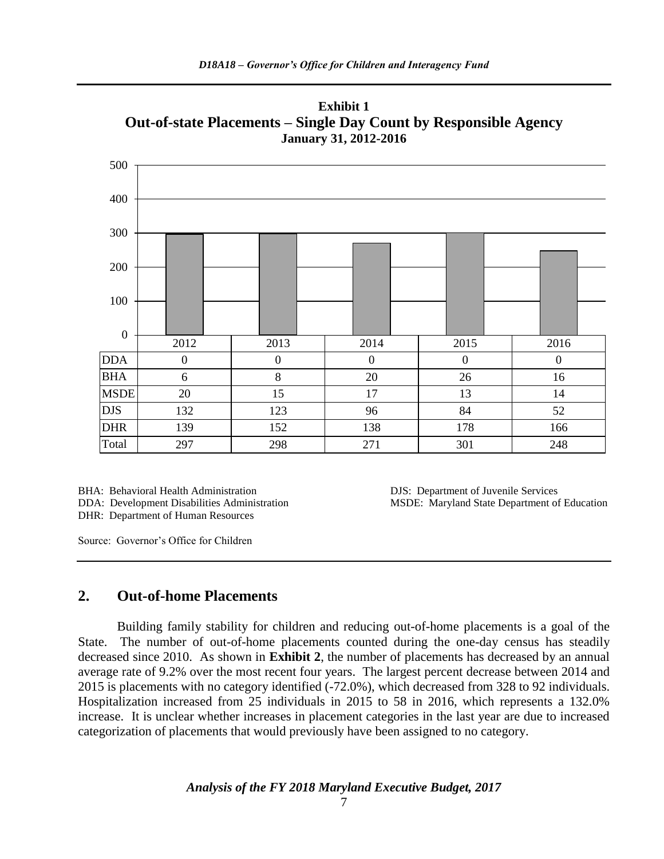

**Exhibit 1 Out-of-state Placements – Single Day Count by Responsible Agency January 31, 2012-2016**

BHA: Behavioral Health Administration DJS: Department of Juvenile Services DHR: Department of Human Resources

DDA: Development Disabilities Administration MSDE: Maryland State Department of Education

Source: Governor's Office for Children

### **2. Out-of-home Placements**

Building family stability for children and reducing out-of-home placements is a goal of the State. The number of out-of-home placements counted during the one-day census has steadily decreased since 2010. As shown in **Exhibit 2**, the number of placements has decreased by an annual average rate of 9.2% over the most recent four years. The largest percent decrease between 2014 and 2015 is placements with no category identified (-72.0%), which decreased from 328 to 92 individuals. Hospitalization increased from 25 individuals in 2015 to 58 in 2016, which represents a 132.0% increase. It is unclear whether increases in placement categories in the last year are due to increased categorization of placements that would previously have been assigned to no category.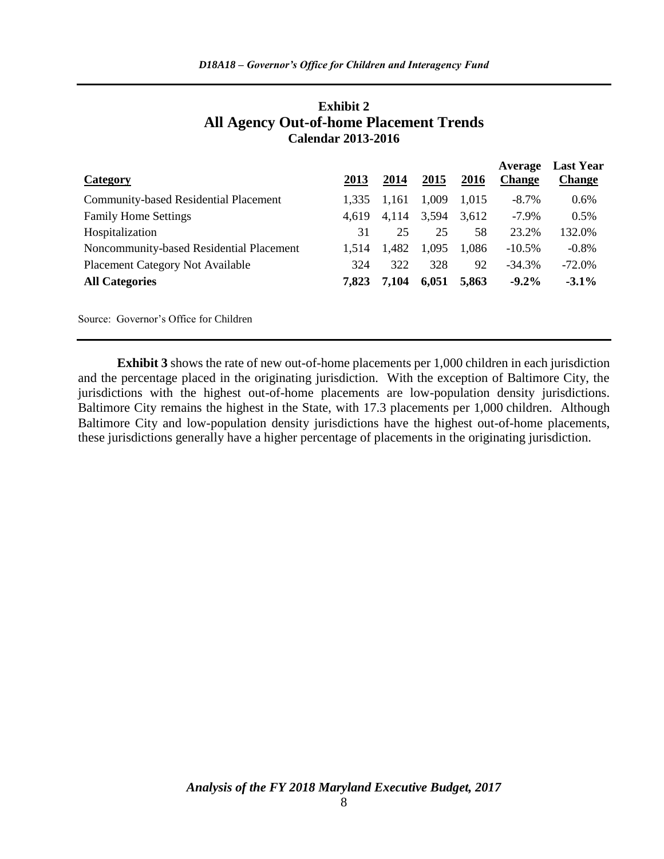| Category                                     | 2013  | 2014  | 2015  | 2016  | Average<br><b>Change</b> | <b>Last Year</b><br><b>Change</b> |
|----------------------------------------------|-------|-------|-------|-------|--------------------------|-----------------------------------|
| <b>Community-based Residential Placement</b> | 1.335 | 1,161 | 1,009 | 1.015 | $-8.7\%$                 | 0.6%                              |
| <b>Family Home Settings</b>                  | 4.619 | 4,114 | 3,594 | 3,612 | $-7.9\%$                 | 0.5%                              |
| Hospitalization                              | 31    | 25    | 25    | 58    | 23.2%                    | 132.0%                            |
| Noncommunity-based Residential Placement     | 1.514 | 1,482 | 1,095 | 1,086 | $-10.5\%$                | $-0.8\%$                          |
| <b>Placement Category Not Available</b>      | 324   | 322   | 328   | 92    | $-34.3%$                 | $-72.0\%$                         |
| <b>All Categories</b>                        | 7.823 | 7,104 | 6,051 | 5,863 | $-9.2\%$                 | $-3.1\%$                          |
| Source: Governor's Office for Children       |       |       |       |       |                          |                                   |

### **Exhibit 2 All Agency Out-of-home Placement Trends Calendar 2013-2016**

**Exhibit 3** shows the rate of new out-of-home placements per 1,000 children in each jurisdiction and the percentage placed in the originating jurisdiction. With the exception of Baltimore City, the jurisdictions with the highest out-of-home placements are low-population density jurisdictions. Baltimore City remains the highest in the State, with 17.3 placements per 1,000 children. Although Baltimore City and low-population density jurisdictions have the highest out-of-home placements, these jurisdictions generally have a higher percentage of placements in the originating jurisdiction.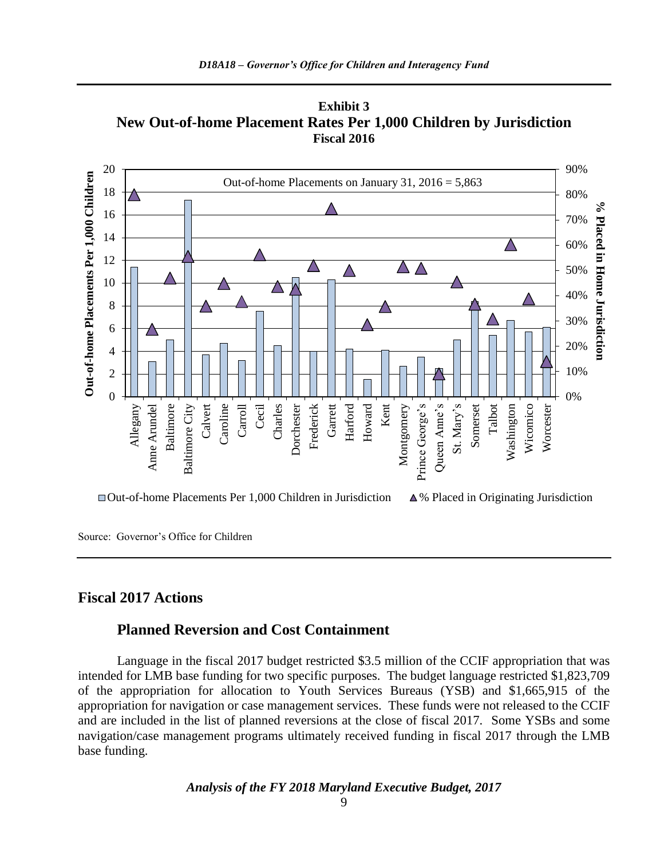



Source: Governor's Office for Children

## **Fiscal 2017 Actions**

### **Planned Reversion and Cost Containment**

Language in the fiscal 2017 budget restricted \$3.5 million of the CCIF appropriation that was intended for LMB base funding for two specific purposes. The budget language restricted \$1,823,709 of the appropriation for allocation to Youth Services Bureaus (YSB) and \$1,665,915 of the appropriation for navigation or case management services. These funds were not released to the CCIF and are included in the list of planned reversions at the close of fiscal 2017. Some YSBs and some navigation/case management programs ultimately received funding in fiscal 2017 through the LMB base funding.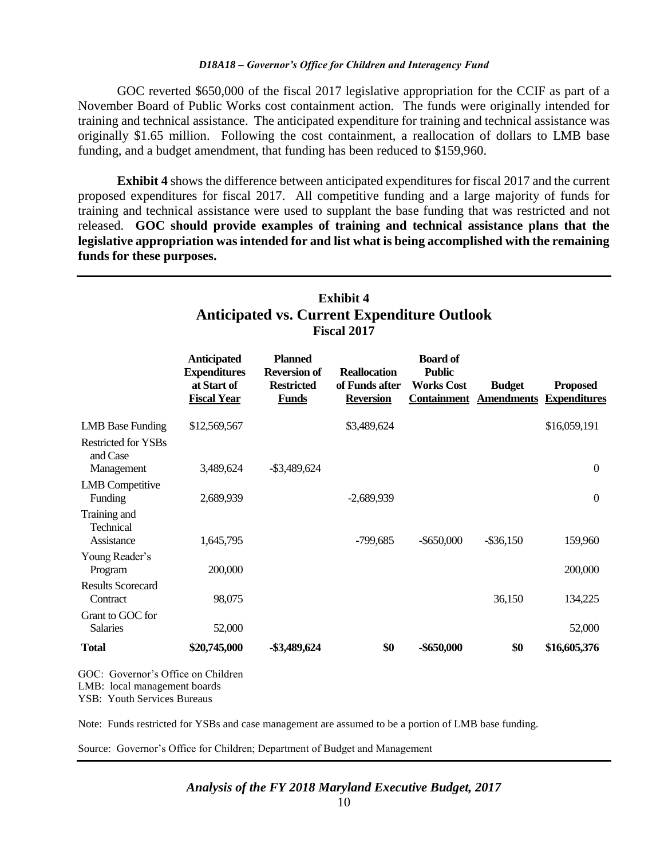GOC reverted \$650,000 of the fiscal 2017 legislative appropriation for the CCIF as part of a November Board of Public Works cost containment action. The funds were originally intended for training and technical assistance. The anticipated expenditure for training and technical assistance was originally \$1.65 million. Following the cost containment, a reallocation of dollars to LMB base funding, and a budget amendment, that funding has been reduced to \$159,960.

**Exhibit 4** shows the difference between anticipated expenditures for fiscal 2017 and the current proposed expenditures for fiscal 2017. All competitive funding and a large majority of funds for training and technical assistance were used to supplant the base funding that was restricted and not released. **GOC should provide examples of training and technical assistance plans that the legislative appropriation was intended for and list what is being accomplished with the remaining funds for these purposes.**

| Exhibit 4<br><b>Anticipated vs. Current Expenditure Outlook</b><br><b>Fiscal 2017</b> |                                                                                |                                                                            |                                                           |                                                       |                                                |                                        |
|---------------------------------------------------------------------------------------|--------------------------------------------------------------------------------|----------------------------------------------------------------------------|-----------------------------------------------------------|-------------------------------------------------------|------------------------------------------------|----------------------------------------|
|                                                                                       | <b>Anticipated</b><br><b>Expenditures</b><br>at Start of<br><b>Fiscal Year</b> | <b>Planned</b><br><b>Reversion of</b><br><b>Restricted</b><br><b>Funds</b> | <b>Reallocation</b><br>of Funds after<br><b>Reversion</b> | <b>Board of</b><br><b>Public</b><br><b>Works Cost</b> | <b>Budget</b><br><b>Containment</b> Amendments | <b>Proposed</b><br><b>Expenditures</b> |
| <b>LMB</b> Base Funding                                                               | \$12,569,567                                                                   |                                                                            | \$3,489,624                                               |                                                       |                                                | \$16,059,191                           |
| <b>Restricted for YSBs</b><br>and Case<br>Management                                  | 3,489,624                                                                      | $-$ \$3,489,624                                                            |                                                           |                                                       |                                                | $\boldsymbol{0}$                       |
| <b>LMB</b> Competitive<br>Funding                                                     | 2,689,939                                                                      |                                                                            | $-2,689,939$                                              |                                                       |                                                | $\boldsymbol{0}$                       |
| Training and<br>Technical<br>Assistance                                               | 1,645,795                                                                      |                                                                            | $-799,685$                                                | $-$ \$650,000                                         | $-$ \$36,150                                   | 159,960                                |
| Young Reader's                                                                        |                                                                                |                                                                            |                                                           |                                                       |                                                |                                        |
| Program<br><b>Results Scorecard</b>                                                   | 200,000                                                                        |                                                                            |                                                           |                                                       |                                                | 200,000                                |
| Contract                                                                              | 98,075                                                                         |                                                                            |                                                           |                                                       | 36,150                                         | 134,225                                |
| Grant to GOC for<br><b>Salaries</b>                                                   | 52,000                                                                         |                                                                            |                                                           |                                                       |                                                | 52,000                                 |
| <b>Total</b>                                                                          | \$20,745,000                                                                   | -\$3,489,624                                                               | \$0                                                       | $-$ \$650,000                                         | \$0                                            | \$16,605,376                           |

**Exhibit 4**

LMB: local management boards

YSB: Youth Services Bureaus

Note: Funds restricted for YSBs and case management are assumed to be a portion of LMB base funding.

Source: Governor's Office for Children; Department of Budget and Management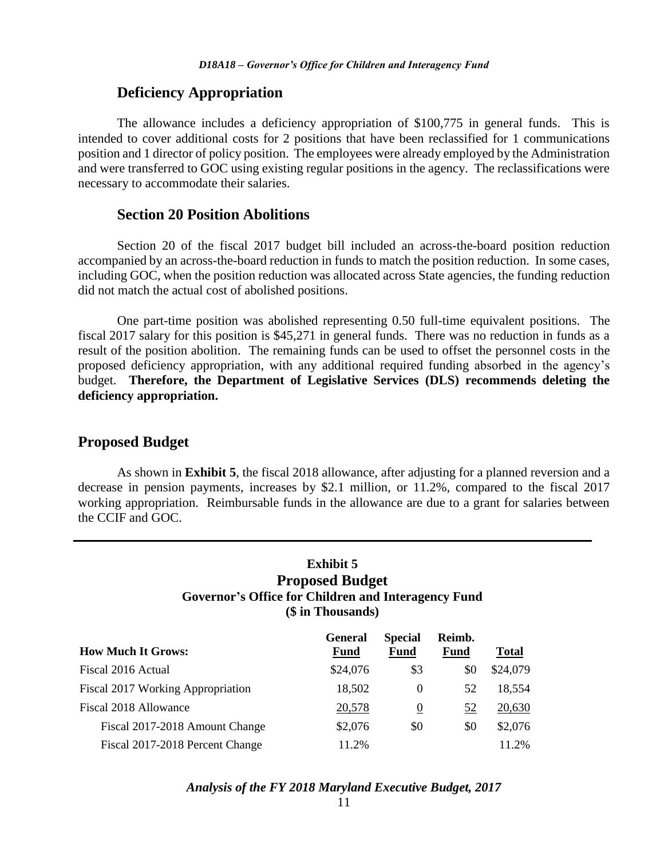### **Deficiency Appropriation**

The allowance includes a deficiency appropriation of \$100,775 in general funds. This is intended to cover additional costs for 2 positions that have been reclassified for 1 communications position and 1 director of policy position. The employees were already employed by the Administration and were transferred to GOC using existing regular positions in the agency. The reclassifications were necessary to accommodate their salaries.

### **Section 20 Position Abolitions**

Section 20 of the fiscal 2017 budget bill included an across-the-board position reduction accompanied by an across-the-board reduction in funds to match the position reduction. In some cases, including GOC, when the position reduction was allocated across State agencies, the funding reduction did not match the actual cost of abolished positions.

One part-time position was abolished representing 0.50 full-time equivalent positions. The fiscal 2017 salary for this position is \$45,271 in general funds. There was no reduction in funds as a result of the position abolition. The remaining funds can be used to offset the personnel costs in the proposed deficiency appropriation, with any additional required funding absorbed in the agency's budget. **Therefore, the Department of Legislative Services (DLS) recommends deleting the deficiency appropriation.**

### **Proposed Budget**

As shown in **Exhibit 5**, the fiscal 2018 allowance, after adjusting for a planned reversion and a decrease in pension payments, increases by \$2.1 million, or 11.2%, compared to the fiscal 2017 working appropriation. Reimbursable funds in the allowance are due to a grant for salaries between the CCIF and GOC.

## **Exhibit 5 Proposed Budget Governor's Office for Children and Interagency Fund (\$ in Thousands)**

| <b>How Much It Grows:</b>         | <b>General</b><br><b>Fund</b> | <b>Special</b><br><b>Fund</b> | Reimb.<br><b>Fund</b> | <b>Total</b> |
|-----------------------------------|-------------------------------|-------------------------------|-----------------------|--------------|
| Fiscal 2016 Actual                | \$24,076                      | \$3                           | \$0                   | \$24,079     |
| Fiscal 2017 Working Appropriation | 18,502                        | $\Omega$                      | 52                    | 18,554       |
| Fiscal 2018 Allowance             | 20,578                        | $\theta$                      | 52                    | 20,630       |
| Fiscal 2017-2018 Amount Change    | \$2,076                       | \$0                           | \$0                   | \$2,076      |
| Fiscal 2017-2018 Percent Change   | 11.2%                         |                               |                       | 11.2%        |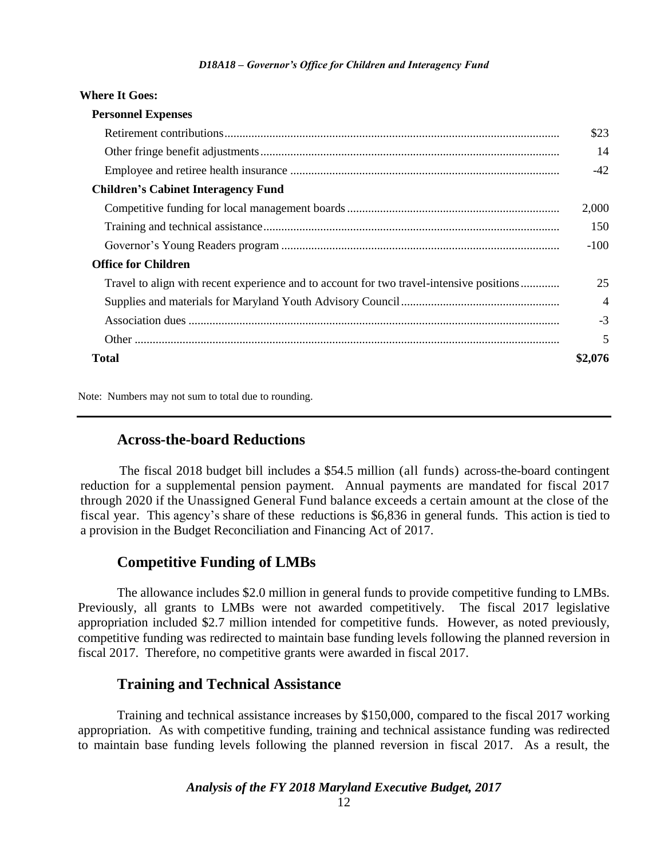| <b>Where It Goes:</b>                                                                    |                |
|------------------------------------------------------------------------------------------|----------------|
| <b>Personnel Expenses</b>                                                                |                |
|                                                                                          | \$23           |
|                                                                                          | 14             |
|                                                                                          | $-42$          |
| <b>Children's Cabinet Interagency Fund</b>                                               |                |
|                                                                                          | 2,000          |
|                                                                                          | 150            |
|                                                                                          | $-100$         |
| <b>Office for Children</b>                                                               |                |
| Travel to align with recent experience and to account for two travel-intensive positions | 25             |
|                                                                                          | $\overline{4}$ |
|                                                                                          | $-3$           |
|                                                                                          | 5              |
| <b>Total</b>                                                                             | \$2,076        |

Note: Numbers may not sum to total due to rounding.

### **Across-the-board Reductions**

The fiscal 2018 budget bill includes a \$54.5 million (all funds) across-the-board contingent reduction for a supplemental pension payment. Annual payments are mandated for fiscal 2017 through 2020 if the Unassigned General Fund balance exceeds a certain amount at the close of the fiscal year. This agency's share of these reductions is \$6,836 in general funds. This action is tied to a provision in the Budget Reconciliation and Financing Act of 2017.

### **Competitive Funding of LMBs**

The allowance includes \$2.0 million in general funds to provide competitive funding to LMBs. Previously, all grants to LMBs were not awarded competitively. The fiscal 2017 legislative appropriation included \$2.7 million intended for competitive funds. However, as noted previously, competitive funding was redirected to maintain base funding levels following the planned reversion in fiscal 2017. Therefore, no competitive grants were awarded in fiscal 2017.

### **Training and Technical Assistance**

Training and technical assistance increases by \$150,000, compared to the fiscal 2017 working appropriation. As with competitive funding, training and technical assistance funding was redirected to maintain base funding levels following the planned reversion in fiscal 2017. As a result, the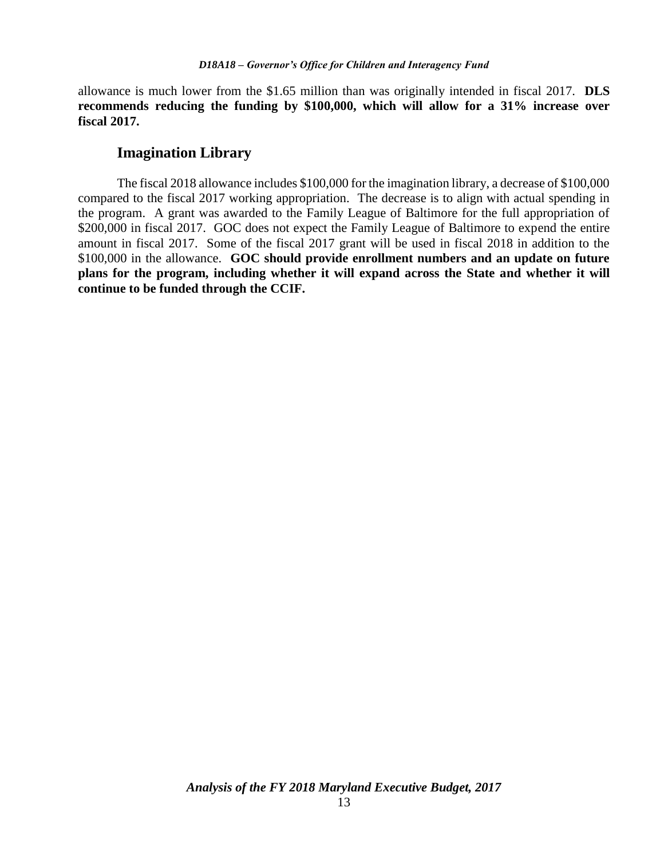allowance is much lower from the \$1.65 million than was originally intended in fiscal 2017. **DLS recommends reducing the funding by \$100,000, which will allow for a 31% increase over fiscal 2017.**

### **Imagination Library**

The fiscal 2018 allowance includes \$100,000 for the imagination library, a decrease of \$100,000 compared to the fiscal 2017 working appropriation. The decrease is to align with actual spending in the program. A grant was awarded to the Family League of Baltimore for the full appropriation of \$200,000 in fiscal 2017. GOC does not expect the Family League of Baltimore to expend the entire amount in fiscal 2017. Some of the fiscal 2017 grant will be used in fiscal 2018 in addition to the \$100,000 in the allowance. **GOC should provide enrollment numbers and an update on future plans for the program, including whether it will expand across the State and whether it will continue to be funded through the CCIF.**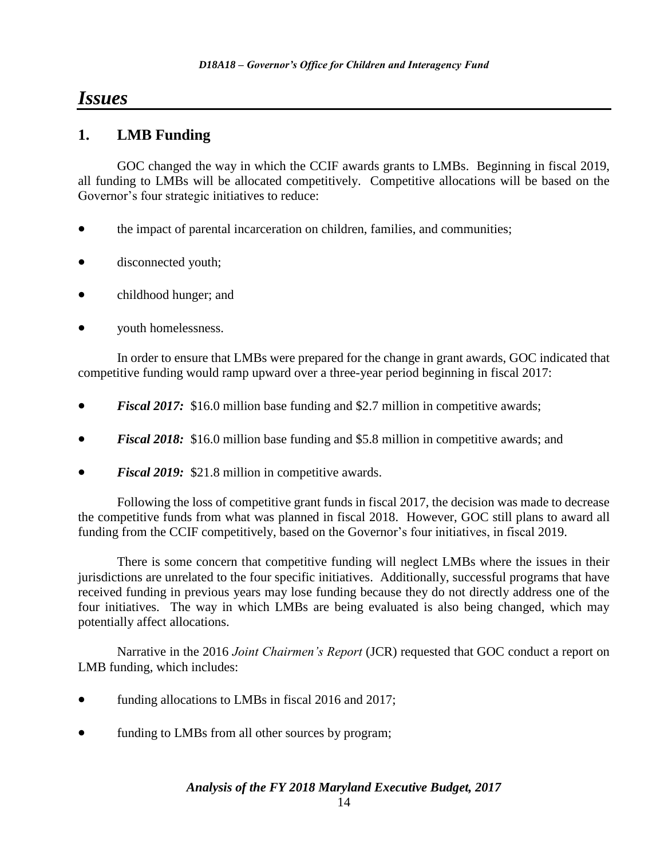# *Issues*

# **1. LMB Funding**

GOC changed the way in which the CCIF awards grants to LMBs. Beginning in fiscal 2019, all funding to LMBs will be allocated competitively. Competitive allocations will be based on the Governor's four strategic initiatives to reduce:

- the impact of parental incarceration on children, families, and communities;
- disconnected youth;
- childhood hunger; and
- youth homelessness.

In order to ensure that LMBs were prepared for the change in grant awards, GOC indicated that competitive funding would ramp upward over a three-year period beginning in fiscal 2017:

- *Fiscal 2017:* \$16.0 million base funding and \$2.7 million in competitive awards;
- *Fiscal 2018:* \$16.0 million base funding and \$5.8 million in competitive awards; and
- *Fiscal 2019:* \$21.8 million in competitive awards.

Following the loss of competitive grant funds in fiscal 2017, the decision was made to decrease the competitive funds from what was planned in fiscal 2018. However, GOC still plans to award all funding from the CCIF competitively, based on the Governor's four initiatives, in fiscal 2019.

There is some concern that competitive funding will neglect LMBs where the issues in their jurisdictions are unrelated to the four specific initiatives. Additionally, successful programs that have received funding in previous years may lose funding because they do not directly address one of the four initiatives. The way in which LMBs are being evaluated is also being changed, which may potentially affect allocations.

Narrative in the 2016 *Joint Chairmen's Report* (JCR) requested that GOC conduct a report on LMB funding, which includes:

- funding allocations to LMBs in fiscal 2016 and 2017;
- funding to LMBs from all other sources by program;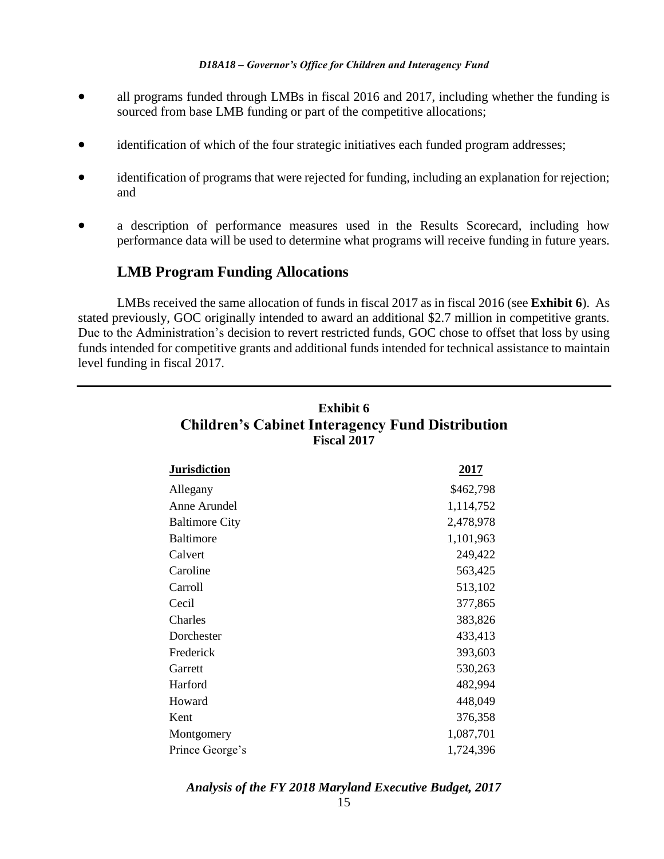- all programs funded through LMBs in fiscal 2016 and 2017, including whether the funding is sourced from base LMB funding or part of the competitive allocations;
- identification of which of the four strategic initiatives each funded program addresses;
- identification of programs that were rejected for funding, including an explanation for rejection; and
- a description of performance measures used in the Results Scorecard, including how performance data will be used to determine what programs will receive funding in future years.

## **LMB Program Funding Allocations**

LMBs received the same allocation of funds in fiscal 2017 as in fiscal 2016 (see **Exhibit 6**). As stated previously, GOC originally intended to award an additional \$2.7 million in competitive grants. Due to the Administration's decision to revert restricted funds, GOC chose to offset that loss by using funds intended for competitive grants and additional funds intended for technical assistance to maintain level funding in fiscal 2017.

| <b>Jurisdiction</b>   | <u>2017</u> |
|-----------------------|-------------|
| Allegany              | \$462,798   |
| Anne Arundel          | 1,114,752   |
| <b>Baltimore City</b> | 2,478,978   |
| <b>Baltimore</b>      | 1,101,963   |
| Calvert               | 249,422     |
| Caroline              | 563,425     |
| Carroll               | 513,102     |
| Cecil                 | 377,865     |
| Charles               | 383,826     |
| Dorchester            | 433,413     |
| Frederick             | 393,603     |
| Garrett               | 530,263     |
| Harford               | 482,994     |
| Howard                | 448,049     |
| Kent                  | 376,358     |
| Montgomery            | 1,087,701   |
| Prince George's       | 1,724,396   |

# **Exhibit 6 Children's Cabinet Interagency Fund Distribution Fiscal 2017**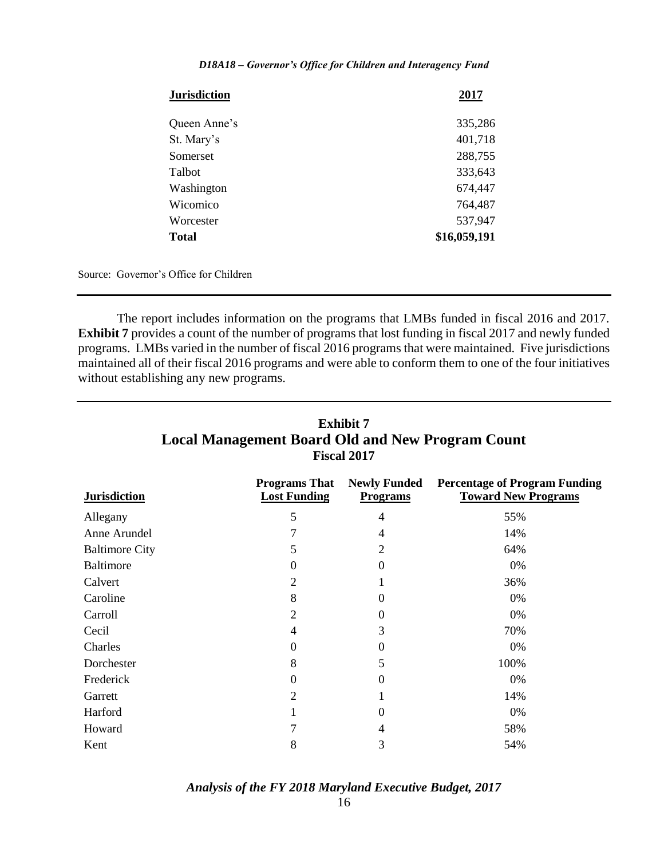| <b>Jurisdiction</b> | 2017         |
|---------------------|--------------|
| Queen Anne's        | 335,286      |
| St. Mary's          | 401,718      |
| Somerset            | 288,755      |
| Talbot              | 333,643      |
| Washington          | 674,447      |
| Wicomico            | 764,487      |
| Worcester           | 537,947      |
| <b>Total</b>        | \$16,059,191 |

Source: Governor's Office for Children

The report includes information on the programs that LMBs funded in fiscal 2016 and 2017. **Exhibit 7** provides a count of the number of programs that lost funding in fiscal 2017 and newly funded programs. LMBs varied in the number of fiscal 2016 programs that were maintained. Five jurisdictions maintained all of their fiscal 2016 programs and were able to conform them to one of the four initiatives without establishing any new programs.

| <b>FISCAL ZULT</b>    |                                             |                                        |                                                                    |  |  |  |
|-----------------------|---------------------------------------------|----------------------------------------|--------------------------------------------------------------------|--|--|--|
| <b>Jurisdiction</b>   | <b>Programs That</b><br><b>Lost Funding</b> | <b>Newly Funded</b><br><b>Programs</b> | <b>Percentage of Program Funding</b><br><b>Toward New Programs</b> |  |  |  |
| Allegany              | 5                                           | 4                                      | 55%                                                                |  |  |  |
| Anne Arundel          |                                             | 4                                      | 14%                                                                |  |  |  |
| <b>Baltimore City</b> | 5                                           | 2                                      | 64%                                                                |  |  |  |
| Baltimore             | $\theta$                                    | $\Omega$                               | 0%                                                                 |  |  |  |
| Calvert               | $\overline{2}$                              |                                        | 36%                                                                |  |  |  |
| Caroline              | 8                                           | 0                                      | 0%                                                                 |  |  |  |
| Carroll               | $\overline{2}$                              | $^{(1)}$                               | 0%                                                                 |  |  |  |
| Cecil                 | 4                                           | 3                                      | 70%                                                                |  |  |  |
| Charles               | $\theta$                                    | $\theta$                               | 0%                                                                 |  |  |  |
| Dorchester            | 8                                           | 5                                      | 100%                                                               |  |  |  |
| Frederick             | $\Omega$                                    | $\Omega$                               | 0%                                                                 |  |  |  |
| Garrett               | 2                                           |                                        | 14%                                                                |  |  |  |
| Harford               | 1                                           | 0                                      | 0%                                                                 |  |  |  |
| Howard                | 7                                           | 4                                      | 58%                                                                |  |  |  |
| Kent                  | 8                                           | 3                                      | 54%                                                                |  |  |  |

# **Exhibit 7 Local Management Board Old and New Program Count Fiscal 2017**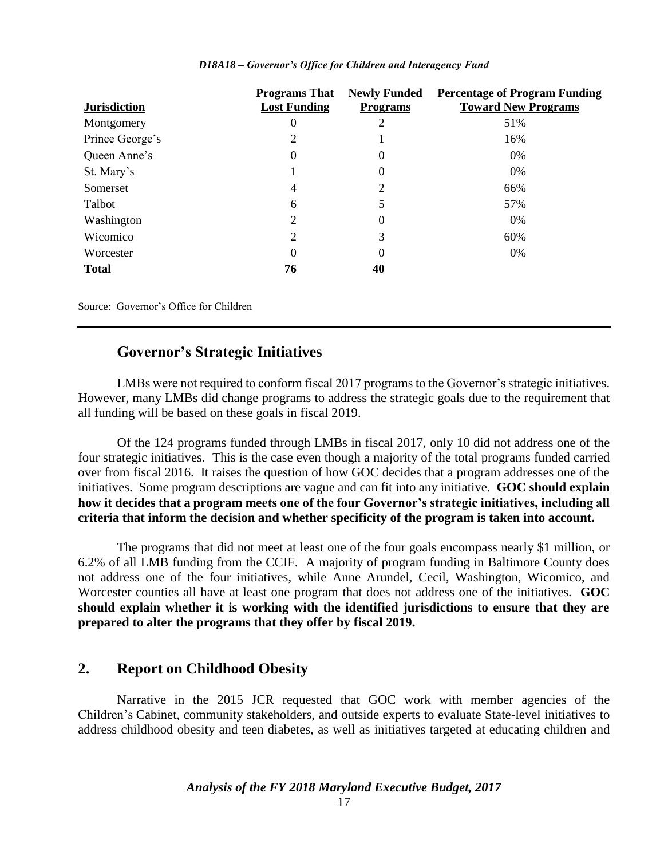|                     | <b>Programs That</b> | <b>Newly Funded</b> | <b>Percentage of Program Funding</b> |
|---------------------|----------------------|---------------------|--------------------------------------|
| <b>Jurisdiction</b> | <b>Lost Funding</b>  | <b>Programs</b>     | <b>Toward New Programs</b>           |
| Montgomery          | 0                    |                     | 51%                                  |
| Prince George's     | 2                    |                     | 16%                                  |
| Queen Anne's        | 0                    | $\theta$            | 0%                                   |
| St. Mary's          |                      | 0                   | 0%                                   |
| Somerset            | 4                    |                     | 66%                                  |
| Talbot              | 6                    | 5                   | 57%                                  |
| Washington          | 2                    | $\theta$            | 0%                                   |
| Wicomico            | 2                    | 3                   | 60%                                  |
| Worcester           | $\Omega$             | $\Omega$            | 0%                                   |
| <b>Total</b>        | 76                   | 40                  |                                      |
|                     |                      |                     |                                      |

Source: Governor's Office for Children

### **Governor's Strategic Initiatives**

LMBs were not required to conform fiscal 2017 programs to the Governor's strategic initiatives. However, many LMBs did change programs to address the strategic goals due to the requirement that all funding will be based on these goals in fiscal 2019.

Of the 124 programs funded through LMBs in fiscal 2017, only 10 did not address one of the four strategic initiatives. This is the case even though a majority of the total programs funded carried over from fiscal 2016. It raises the question of how GOC decides that a program addresses one of the initiatives. Some program descriptions are vague and can fit into any initiative. **GOC should explain how it decides that a program meets one of the four Governor's strategic initiatives, including all criteria that inform the decision and whether specificity of the program is taken into account.**

The programs that did not meet at least one of the four goals encompass nearly \$1 million, or 6.2% of all LMB funding from the CCIF. A majority of program funding in Baltimore County does not address one of the four initiatives, while Anne Arundel, Cecil, Washington, Wicomico, and Worcester counties all have at least one program that does not address one of the initiatives. **GOC should explain whether it is working with the identified jurisdictions to ensure that they are prepared to alter the programs that they offer by fiscal 2019.**

## **2. Report on Childhood Obesity**

Narrative in the 2015 JCR requested that GOC work with member agencies of the Children's Cabinet, community stakeholders, and outside experts to evaluate State-level initiatives to address childhood obesity and teen diabetes, as well as initiatives targeted at educating children and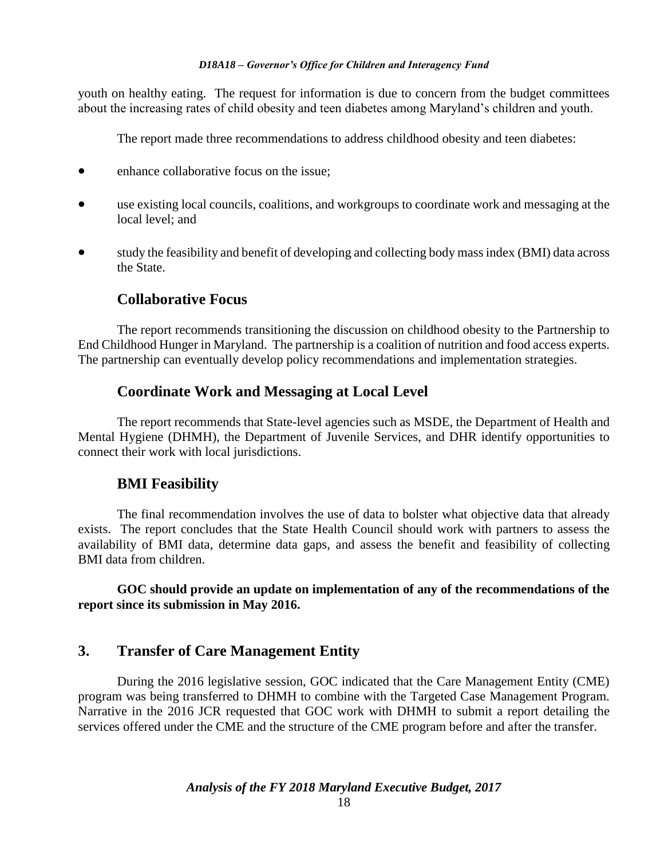youth on healthy eating.The request for information is due to concern from the budget committees about the increasing rates of child obesity and teen diabetes among Maryland's children and youth.

The report made three recommendations to address childhood obesity and teen diabetes:

- enhance collaborative focus on the issue:
- use existing local councils, coalitions, and workgroups to coordinate work and messaging at the local level; and
- study the feasibility and benefit of developing and collecting body mass index (BMI) data across the State.

### **Collaborative Focus**

The report recommends transitioning the discussion on childhood obesity to the Partnership to End Childhood Hunger in Maryland. The partnership is a coalition of nutrition and food access experts. The partnership can eventually develop policy recommendations and implementation strategies.

### **Coordinate Work and Messaging at Local Level**

The report recommends that State-level agencies such as MSDE, the Department of Health and Mental Hygiene (DHMH), the Department of Juvenile Services, and DHR identify opportunities to connect their work with local jurisdictions.

### **BMI Feasibility**

The final recommendation involves the use of data to bolster what objective data that already exists. The report concludes that the State Health Council should work with partners to assess the availability of BMI data, determine data gaps, and assess the benefit and feasibility of collecting BMI data from children.

**GOC should provide an update on implementation of any of the recommendations of the report since its submission in May 2016.**

### **3. Transfer of Care Management Entity**

During the 2016 legislative session, GOC indicated that the Care Management Entity (CME) program was being transferred to DHMH to combine with the Targeted Case Management Program. Narrative in the 2016 JCR requested that GOC work with DHMH to submit a report detailing the services offered under the CME and the structure of the CME program before and after the transfer.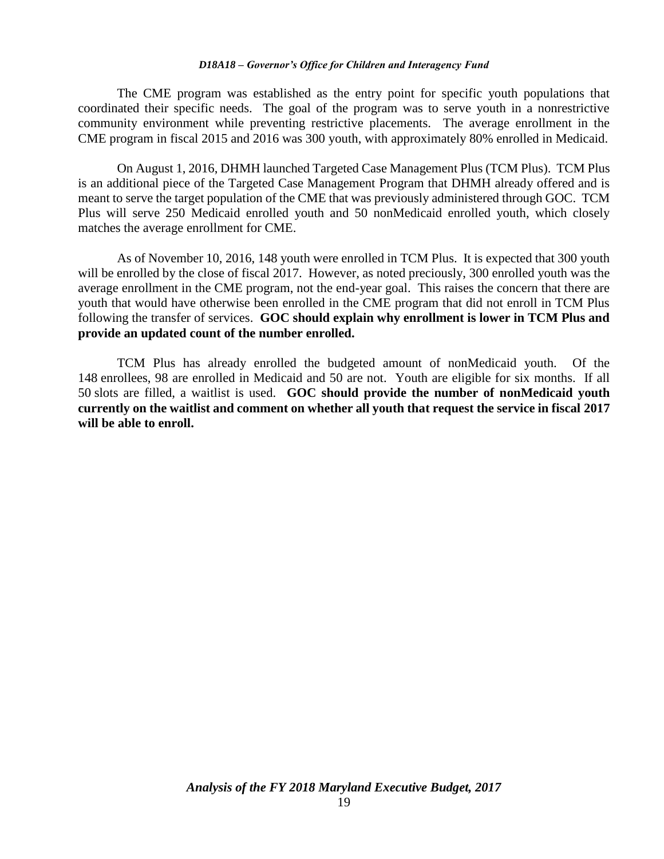The CME program was established as the entry point for specific youth populations that coordinated their specific needs. The goal of the program was to serve youth in a nonrestrictive community environment while preventing restrictive placements. The average enrollment in the CME program in fiscal 2015 and 2016 was 300 youth, with approximately 80% enrolled in Medicaid.

On August 1, 2016, DHMH launched Targeted Case Management Plus (TCM Plus). TCM Plus is an additional piece of the Targeted Case Management Program that DHMH already offered and is meant to serve the target population of the CME that was previously administered through GOC. TCM Plus will serve 250 Medicaid enrolled youth and 50 nonMedicaid enrolled youth, which closely matches the average enrollment for CME.

As of November 10, 2016, 148 youth were enrolled in TCM Plus. It is expected that 300 youth will be enrolled by the close of fiscal 2017. However, as noted preciously, 300 enrolled youth was the average enrollment in the CME program, not the end-year goal. This raises the concern that there are youth that would have otherwise been enrolled in the CME program that did not enroll in TCM Plus following the transfer of services. **GOC should explain why enrollment is lower in TCM Plus and provide an updated count of the number enrolled.**

TCM Plus has already enrolled the budgeted amount of nonMedicaid youth. Of the 148 enrollees, 98 are enrolled in Medicaid and 50 are not. Youth are eligible for six months. If all 50 slots are filled, a waitlist is used. **GOC should provide the number of nonMedicaid youth currently on the waitlist and comment on whether all youth that request the service in fiscal 2017 will be able to enroll.**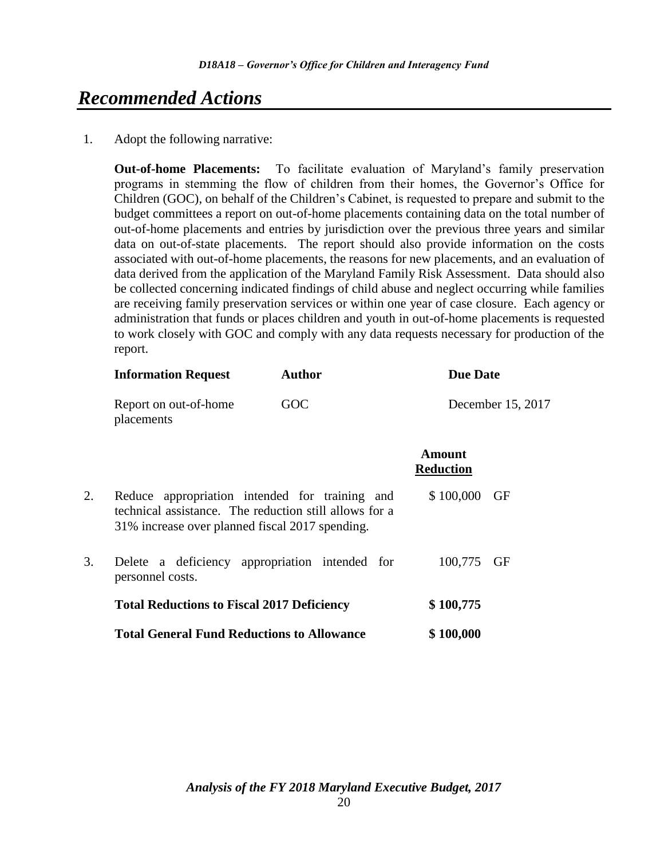# *Recommended Actions*

1. Adopt the following narrative:

**Out-of-home Placements:** To facilitate evaluation of Maryland's family preservation programs in stemming the flow of children from their homes, the Governor's Office for Children (GOC), on behalf of the Children's Cabinet, is requested to prepare and submit to the budget committees a report on out-of-home placements containing data on the total number of out-of-home placements and entries by jurisdiction over the previous three years and similar data on out-of-state placements. The report should also provide information on the costs associated with out-of-home placements, the reasons for new placements, and an evaluation of data derived from the application of the Maryland Family Risk Assessment. Data should also be collected concerning indicated findings of child abuse and neglect occurring while families are receiving family preservation services or within one year of case closure. Each agency or administration that funds or places children and youth in out-of-home placements is requested to work closely with GOC and comply with any data requests necessary for production of the report.

|    | <b>Information Request</b>                                                                                                                                  | <b>Author</b> | <b>Due Date</b>            |                   |  |  |
|----|-------------------------------------------------------------------------------------------------------------------------------------------------------------|---------------|----------------------------|-------------------|--|--|
|    | Report on out-of-home<br>placements                                                                                                                         | GOC           |                            | December 15, 2017 |  |  |
|    |                                                                                                                                                             |               | Amount<br><b>Reduction</b> |                   |  |  |
| 2. | Reduce appropriation intended for training and<br>technical assistance. The reduction still allows for a<br>31% increase over planned fiscal 2017 spending. | \$100,000     | GF                         |                   |  |  |
| 3. | Delete a deficiency appropriation intended for<br>personnel costs.                                                                                          |               | 100,775                    | GF                |  |  |
|    | <b>Total Reductions to Fiscal 2017 Deficiency</b>                                                                                                           |               | \$100,775                  |                   |  |  |
|    | <b>Total General Fund Reductions to Allowance</b>                                                                                                           |               | \$100,000                  |                   |  |  |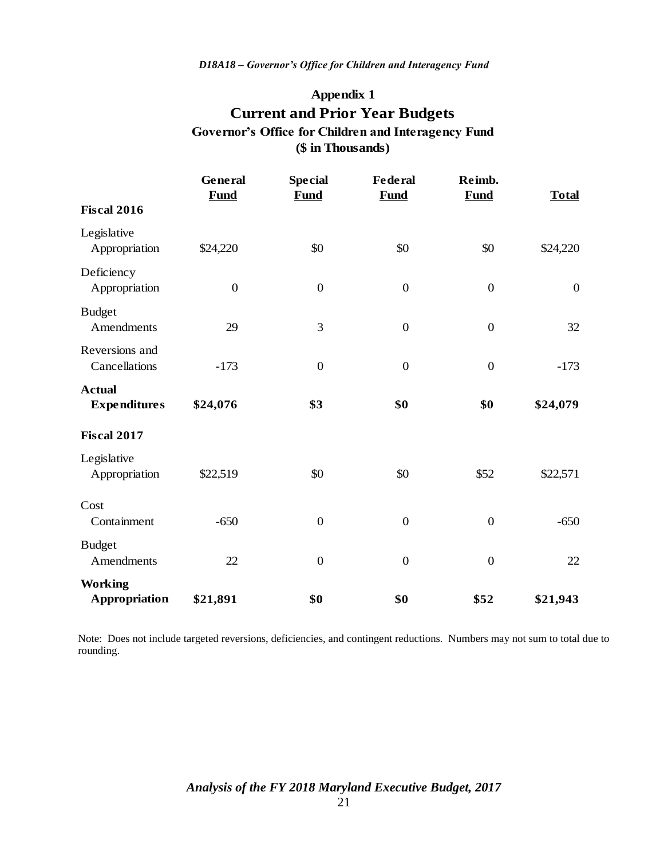### **Appendix 1**

# **Current and Prior Year Budgets (\$ in Thousands) Governor's Office for Children and Interagency Fund**

|                                                                                                                                  | General<br>Fund  | <b>Special</b><br><b>Fund</b> | <b>Federal</b><br>Fund                                  | Reimb.<br><b>Fund</b> | <b>Total</b>     |
|----------------------------------------------------------------------------------------------------------------------------------|------------------|-------------------------------|---------------------------------------------------------|-----------------------|------------------|
| <b>Fiscal 2016</b>                                                                                                               |                  |                               |                                                         |                       |                  |
| Legislative<br>Appropriation                                                                                                     | \$24,220         | \$0                           | \$0                                                     | \$0                   | \$24,220         |
| Deficiency<br>Appropriation                                                                                                      | $\boldsymbol{0}$ | $\boldsymbol{0}$              | $\boldsymbol{0}$                                        | $\boldsymbol{0}$      | $\boldsymbol{0}$ |
| <b>Budget</b><br>Amendments                                                                                                      | 29               | 3                             | $\boldsymbol{0}$                                        | $\boldsymbol{0}$      | 32               |
| Reversions and<br>Cancellations                                                                                                  | $-173$           | $\boldsymbol{0}$              | $\boldsymbol{0}$                                        | $\boldsymbol{0}$      | $-173$           |
| <b>Actual</b><br><b>Expenditures</b>                                                                                             | \$24,076         | \$3                           | \$0                                                     | \$0                   | \$24,079         |
| <b>Fiscal 2017</b>                                                                                                               |                  |                               |                                                         |                       |                  |
| Legislative<br>Appropriation                                                                                                     | \$22,519         | \$0                           | \$0                                                     | \$52                  | \$22,571         |
| Cost<br>Containment                                                                                                              | $-650$           | $\boldsymbol{0}$              | $\boldsymbol{0}$                                        | $\boldsymbol{0}$      | $-650$           |
| <b>Budget</b><br>Amendments                                                                                                      | 22               | $\boldsymbol{0}$              | $\boldsymbol{0}$                                        | $\boldsymbol{0}$      | 22               |
| <b>Working</b><br><b>Appropriation</b>                                                                                           | \$21,891         | \$0                           | \$0                                                     | \$52                  | \$21,943         |
| Note: Does not include targeted reversions, deficiencies, and contingent reductions. Numbers may not sum to total o<br>rounding. |                  |                               | Analysis of the FY 2018 Maryland Executive Budget, 2017 |                       |                  |
|                                                                                                                                  |                  | 21                            |                                                         |                       |                  |

Note: Does not include targeted reversions, deficiencies, and contingent reductions. Numbers may not sum to total due to rounding.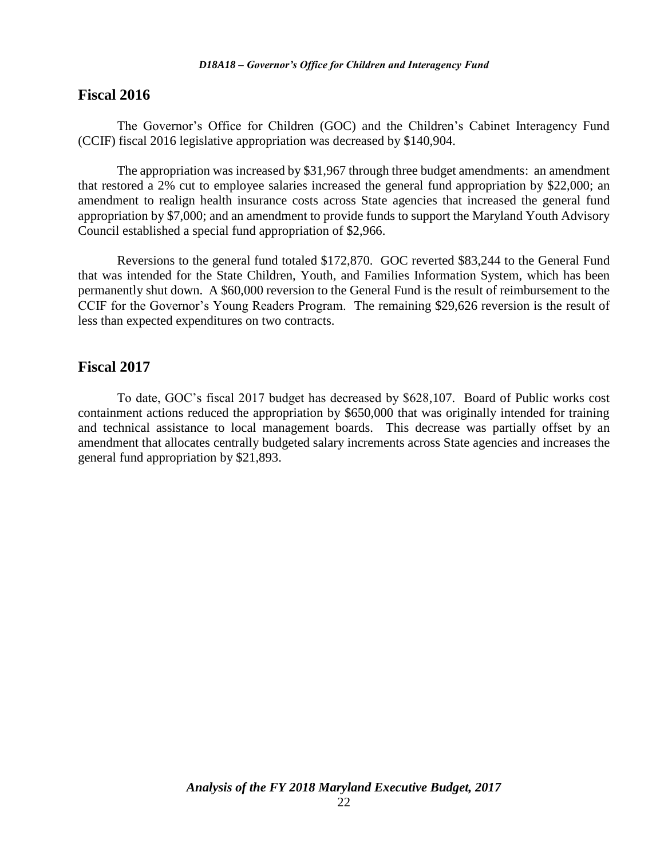### **Fiscal 2016**

The Governor's Office for Children (GOC) and the Children's Cabinet Interagency Fund (CCIF) fiscal 2016 legislative appropriation was decreased by \$140,904.

The appropriation was increased by \$31,967 through three budget amendments: an amendment that restored a 2% cut to employee salaries increased the general fund appropriation by \$22,000; an amendment to realign health insurance costs across State agencies that increased the general fund appropriation by \$7,000; and an amendment to provide funds to support the Maryland Youth Advisory Council established a special fund appropriation of \$2,966.

Reversions to the general fund totaled \$172,870. GOC reverted \$83,244 to the General Fund that was intended for the State Children, Youth, and Families Information System, which has been permanently shut down. A \$60,000 reversion to the General Fund is the result of reimbursement to the CCIF for the Governor's Young Readers Program. The remaining \$29,626 reversion is the result of less than expected expenditures on two contracts.

### **Fiscal 2017**

To date, GOC's fiscal 2017 budget has decreased by \$628,107. Board of Public works cost containment actions reduced the appropriation by \$650,000 that was originally intended for training and technical assistance to local management boards. This decrease was partially offset by an amendment that allocates centrally budgeted salary increments across State agencies and increases the general fund appropriation by \$21,893.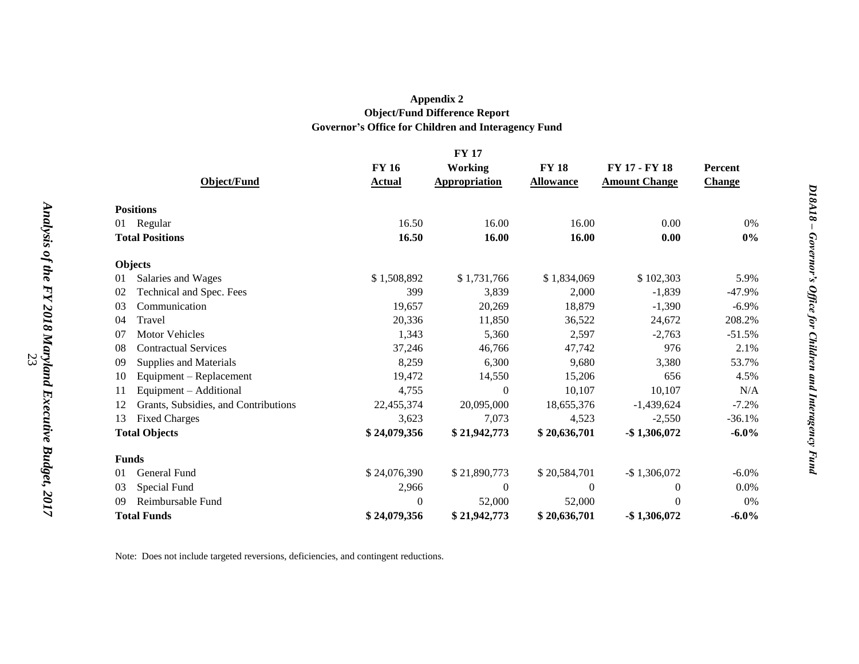### **Appendix 2 Object/Fund Difference Report Governor's Office for Children and Interagency Fund**

|                        | <b>FY 17</b>                         |                  |                      |                  |                      |               |  |
|------------------------|--------------------------------------|------------------|----------------------|------------------|----------------------|---------------|--|
|                        |                                      | <b>FY 16</b>     | <b>Working</b>       | <b>FY 18</b>     | FY 17 - FY 18        | Percent       |  |
|                        | <b>Object/Fund</b>                   | <b>Actual</b>    | <b>Appropriation</b> | <b>Allowance</b> | <b>Amount Change</b> | <b>Change</b> |  |
|                        | <b>Positions</b>                     |                  |                      |                  |                      |               |  |
| Regular<br>01          |                                      | 16.50            | 16.00                | 16.00            | 0.00                 | $0\%$         |  |
| <b>Total Positions</b> |                                      | 16.50            | 16.00                | 16.00            | 0.00                 | $0\%$         |  |
|                        | Objects                              |                  |                      |                  |                      |               |  |
| 01                     | Salaries and Wages                   | \$1,508,892      | \$1,731,766          | \$1,834,069      | \$102,303            | 5.9%          |  |
| 02                     | Technical and Spec. Fees             | 399              | 3,839                | 2,000            | $-1,839$             | $-47.9%$      |  |
| 03                     | Communication                        | 19,657           | 20,269               | 18,879           | $-1,390$             | $-6.9\%$      |  |
| 04                     | Travel                               | 20,336           | 11,850               | 36,522           | 24,672               | 208.2%        |  |
| 07                     | <b>Motor Vehicles</b>                | 1,343            | 5,360                | 2,597            | $-2,763$             | $-51.5%$      |  |
| 08                     | <b>Contractual Services</b>          | 37,246           | 46,766               | 47,742           | 976                  | 2.1%          |  |
| 09                     | Supplies and Materials               | 8,259            | 6,300                | 9,680            | 3,380                | 53.7%         |  |
| 10                     | Equipment - Replacement              | 19,472           | 14,550               | 15,206           | 656                  | 4.5%          |  |
| 11                     | Equipment - Additional               | 4,755            | $\Omega$             | 10,107           | 10,107               | N/A           |  |
| 12                     | Grants, Subsidies, and Contributions | 22,455,374       | 20,095,000           | 18,655,376       | $-1,439,624$         | $-7.2%$       |  |
| 13                     | <b>Fixed Charges</b>                 | 3,623            | 7,073                | 4,523            | $-2,550$             | $-36.1%$      |  |
| <b>Total Objects</b>   |                                      | \$24,079,356     | \$21,942,773         | \$20,636,701     | $-$ \$1,306,072      | $-6.0\%$      |  |
|                        | <b>Funds</b>                         |                  |                      |                  |                      |               |  |
| 01                     | General Fund                         | \$24,076,390     | \$21,890,773         | \$20,584,701     | $-$ \$1,306,072      | $-6.0\%$      |  |
| 03                     | Special Fund                         | 2,966            | $\mathbf{0}$         | $\theta$         | $\theta$             | $0.0\%$       |  |
| 09                     | Reimbursable Fund                    | $\boldsymbol{0}$ | 52,000               | 52,000           | $\Omega$             | $0\%$         |  |
| <b>Total Funds</b>     |                                      | \$24,079,356     | \$21,942,773         | \$20,636,701     | $-$1,306,072$        | $-6.0\%$      |  |

Note: Does not include targeted reversions, deficiencies, and contingent reductions.